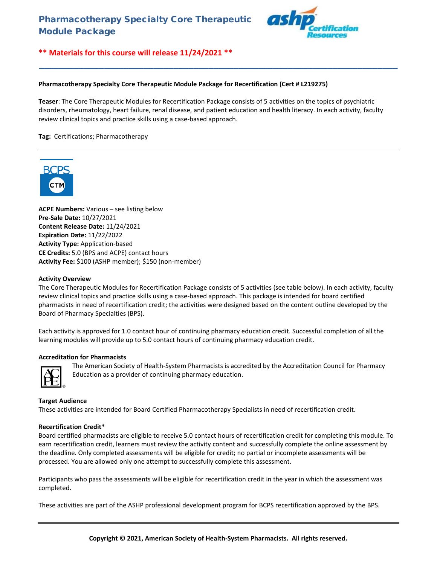

**\*\* Materials for this course will release 11/24/2021 \*\***

### **Pharmacotherapy Specialty Core Therapeutic Module Package for Recertification (Cert # L219275)**

**Teaser**: The Core Therapeutic Modules for Recertification Package consists of 5 activities on the topics of psychiatric disorders, rheumatology, heart failure, renal disease, and patient education and health literacy. In each activity, faculty review clinical topics and practice skills using a case-based approach.

**\_\_\_\_\_\_\_\_\_\_\_\_\_\_\_\_\_\_\_\_\_\_\_\_\_\_\_\_\_\_\_\_\_\_\_\_\_\_\_\_\_\_\_\_\_\_\_\_\_\_\_\_\_\_\_\_\_\_\_\_\_\_\_\_\_\_\_\_\_\_\_\_**

**Tag:** Certifications; Pharmacotherapy



**ACPE Numbers:** Various – see listing below **Pre-Sale Date:** 10/27/2021 **Content Release Date:** 11/24/2021 **Expiration Date:** 11/22/2022 **Activity Type:** Application-based **CE Credits:** 5.0 (BPS and ACPE) contact hours **Activity Fee:** \$100 (ASHP member); \$150 (non-member)

#### **Activity Overview**

The Core Therapeutic Modules for Recertification Package consists of 5 activities (see table below). In each activity, faculty review clinical topics and practice skills using a case-based approach. This package is intended for board certified pharmacists in need of recertification credit; the activities were designed based on the content outline developed by the Board of Pharmacy Specialties (BPS).

Each activity is approved for 1.0 contact hour of continuing pharmacy education credit. Successful completion of all the learning modules will provide up to 5.0 contact hours of continuing pharmacy education credit.

#### **Accreditation for Pharmacists**



The American Society of Health-System Pharmacists is accredited by the Accreditation Council for Pharmacy Education as a provider of continuing pharmacy education.

# **Target Audience**

These activities are intended for Board Certified Pharmacotherapy Specialists in need of recertification credit.

#### **Recertification Credit\***

Board certified pharmacists are eligible to receive 5.0 contact hours of recertification credit for completing this module. To earn recertification credit, learners must review the activity content and successfully complete the online assessment by the deadline. Only completed assessments will be eligible for credit; no partial or incomplete assessments will be processed. You are allowed only one attempt to successfully complete this assessment.

Participants who pass the assessments will be eligible for recertification credit in the year in which the assessment was completed.

These activities are part of the ASHP professional development program for BCPS recertification approved by the BPS.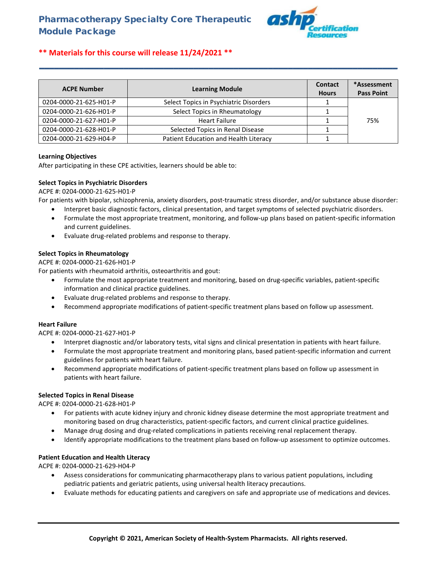

# **\*\* Materials for this course will release 11/24/2021 \*\***

| <b>ACPE Number</b>     | <b>Learning Module</b>                 | <b>Contact</b><br><b>Hours</b> | *Assessment<br><b>Pass Point</b> |
|------------------------|----------------------------------------|--------------------------------|----------------------------------|
| 0204-0000-21-625-H01-P | Select Topics in Psychiatric Disorders |                                |                                  |
| 0204-0000-21-626-H01-P | Select Topics in Rheumatology          |                                |                                  |
| 0204-0000-21-627-H01-P | <b>Heart Failure</b>                   |                                | 75%                              |
| 0204-0000-21-628-H01-P | Selected Topics in Renal Disease       |                                |                                  |
| 0204-0000-21-629-H04-P | Patient Education and Health Literacy  |                                |                                  |

**\_\_\_\_\_\_\_\_\_\_\_\_\_\_\_\_\_\_\_\_\_\_\_\_\_\_\_\_\_\_\_\_\_\_\_\_\_\_\_\_\_\_\_\_\_\_\_\_\_\_\_\_\_\_\_\_\_\_\_\_\_\_\_\_\_\_\_\_\_\_\_\_**

# **Learning Objectives**

After participating in these CPE activities, learners should be able to:

# **Select Topics in Psychiatric Disorders**

ACPE #: 0204-0000-21-625-H01-P

For patients with bipolar, schizophrenia, anxiety disorders, post-traumatic stress disorder, and/or substance abuse disorder:

- Interpret basic diagnostic factors, clinical presentation, and target symptoms of selected psychiatric disorders.
- Formulate the most appropriate treatment, monitoring, and follow-up plans based on patient-specific information and current guidelines.
- Evaluate drug-related problems and response to therapy.

#### **Select Topics in Rheumatology**

#### ACPE #: 0204-0000-21-626-H01-P

For patients with rheumatoid arthritis, osteoarthritis and gout:

- Formulate the most appropriate treatment and monitoring, based on drug-specific variables, patient-specific information and clinical practice guidelines.
- Evaluate drug-related problems and response to therapy.
- Recommend appropriate modifications of patient-specific treatment plans based on follow up assessment.

#### **Heart Failure**

ACPE #: 0204-0000-21-627-H01-P

- Interpret diagnostic and/or laboratory tests, vital signs and clinical presentation in patients with heart failure.
- Formulate the most appropriate treatment and monitoring plans, based patient-specific information and current guidelines for patients with heart failure.
- Recommend appropriate modifications of patient-specific treatment plans based on follow up assessment in patients with heart failure.

#### **Selected Topics in Renal Disease**

ACPE #: 0204-0000-21-628-H01-P

- For patients with acute kidney injury and chronic kidney disease determine the most appropriate treatment and monitoring based on drug characteristics, patient-specific factors, and current clinical practice guidelines.
- Manage drug dosing and drug-related complications in patients receiving renal replacement therapy.
- Identify appropriate modifications to the treatment plans based on follow-up assessment to optimize outcomes.

# **Patient Education and Health Literacy**

ACPE #: 0204-0000-21-629-H04-P

- Assess considerations for communicating pharmacotherapy plans to various patient populations, including pediatric patients and geriatric patients, using universal health literacy precautions.
- Evaluate methods for educating patients and caregivers on safe and appropriate use of medications and devices.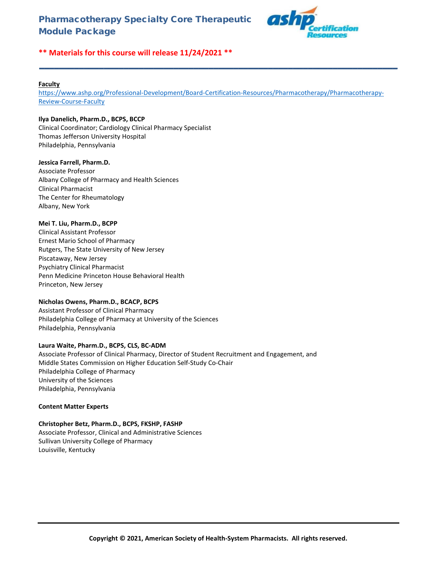

# **\*\* Materials for this course will release 11/24/2021 \*\***

### **Faculty**

[https://www.ashp.org/Professional-Development/Board-Certification-Resources/Pharmacotherapy/Pharmacotherapy-](https://www.ashp.org/Professional-Development/Board-Certification-Resources/Pharmacotherapy/Pharmacotherapy-Review-Course-Faculty)[Review-Course-Faculty](https://www.ashp.org/Professional-Development/Board-Certification-Resources/Pharmacotherapy/Pharmacotherapy-Review-Course-Faculty)

**\_\_\_\_\_\_\_\_\_\_\_\_\_\_\_\_\_\_\_\_\_\_\_\_\_\_\_\_\_\_\_\_\_\_\_\_\_\_\_\_\_\_\_\_\_\_\_\_\_\_\_\_\_\_\_\_\_\_\_\_\_\_\_\_\_\_\_\_\_\_\_\_**

# **Ilya Danelich, Pharm.D., BCPS, BCCP**

Clinical Coordinator; Cardiology Clinical Pharmacy Specialist Thomas Jefferson University Hospital Philadelphia, Pennsylvania

#### **Jessica Farrell, Pharm.D.**

Associate Professor Albany College of Pharmacy and Health Sciences Clinical Pharmacist The Center for Rheumatology Albany, New York

#### **Mei T. Liu, Pharm.D., BCPP**

Clinical Assistant Professor Ernest Mario School of Pharmacy Rutgers, The State University of New Jersey Piscataway, New Jersey Psychiatry Clinical Pharmacist Penn Medicine Princeton House Behavioral Health Princeton, New Jersey

# **Nicholas Owens, Pharm.D., BCACP, BCPS**

Assistant Professor of Clinical Pharmacy Philadelphia College of Pharmacy at University of the Sciences Philadelphia, Pennsylvania

# **Laura Waite, Pharm.D., BCPS, CLS, BC-ADM**

Associate Professor of Clinical Pharmacy, Director of Student Recruitment and Engagement, and Middle States Commission on Higher Education Self-Study Co-Chair Philadelphia College of Pharmacy University of the Sciences Philadelphia, Pennsylvania

# **Content Matter Experts**

# **Christopher Betz, Pharm.D., BCPS, FKSHP, FASHP**

Associate Professor, Clinical and Administrative Sciences Sullivan University College of Pharmacy Louisville, Kentucky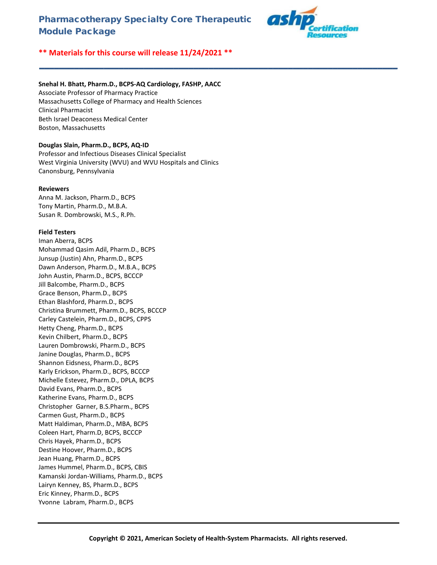**\_\_\_\_\_\_\_\_\_\_\_\_\_\_\_\_\_\_\_\_\_\_\_\_\_\_\_\_\_\_\_\_\_\_\_\_\_\_\_\_\_\_\_\_\_\_\_\_\_\_\_\_\_\_\_\_\_\_\_\_\_\_\_\_\_\_\_\_\_\_\_\_**



# **\*\* Materials for this course will release 11/24/2021 \*\***

# **Snehal H. Bhatt, Pharm.D., BCPS-AQ Cardiology, FASHP, AACC**

Associate Professor of Pharmacy Practice Massachusetts College of Pharmacy and Health Sciences Clinical Pharmacist Beth Israel Deaconess Medical Center Boston, Massachusetts

# **Douglas Slain, Pharm.D., BCPS, AQ-ID**

Professor and Infectious Diseases Clinical Specialist West Virginia University (WVU) and WVU Hospitals and Clinics Canonsburg, Pennsylvania

#### **Reviewers**

Anna M. Jackson, Pharm.D., BCPS Tony Martin, Pharm.D., M.B.A. Susan R. Dombrowski, M.S., R.Ph.

#### **Field Testers**

Iman Aberra, BCPS Mohammad Qasim Adil, Pharm.D., BCPS Junsup (Justin) Ahn, Pharm.D., BCPS Dawn Anderson, Pharm.D., M.B.A., BCPS John Austin, Pharm.D., BCPS, BCCCP Jill Balcombe, Pharm.D., BCPS Grace Benson, Pharm.D., BCPS Ethan Blashford, Pharm.D., BCPS Christina Brummett, Pharm.D., BCPS, BCCCP Carley Castelein, Pharm.D., BCPS, CPPS Hetty Cheng, Pharm.D., BCPS Kevin Chilbert, Pharm.D., BCPS Lauren Dombrowski, Pharm.D., BCPS Janine Douglas, Pharm.D., BCPS Shannon Eidsness, Pharm.D., BCPS Karly Erickson, Pharm.D., BCPS, BCCCP Michelle Estevez, Pharm.D., DPLA, BCPS David Evans, Pharm.D., BCPS Katherine Evans, Pharm.D., BCPS Christopher Garner, B.S.Pharm., BCPS Carmen Gust, Pharm.D., BCPS Matt Haldiman, Pharm.D., MBA, BCPS Coleen Hart, Pharm.D, BCPS, BCCCP Chris Hayek, Pharm.D., BCPS Destine Hoover, Pharm.D., BCPS Jean Huang, Pharm.D., BCPS James Hummel, Pharm.D., BCPS, CBIS Kamanski Jordan-Williams, Pharm.D., BCPS Lairyn Kenney, BS, Pharm.D., BCPS Eric Kinney, Pharm.D., BCPS Yvonne Labram, Pharm.D., BCPS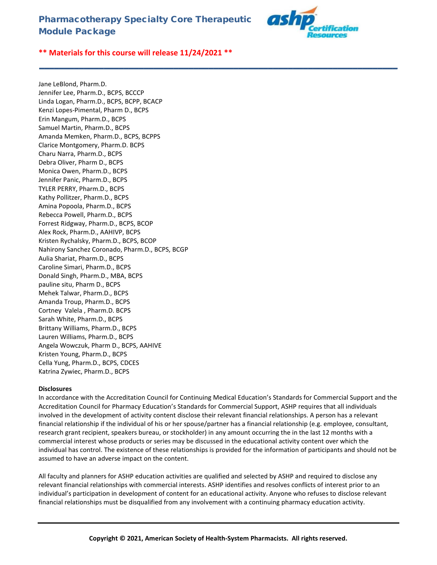

**\*\* Materials for this course will release 11/24/2021 \*\***

Jane LeBlond, Pharm.D. Jennifer Lee, Pharm.D., BCPS, BCCCP Linda Logan, Pharm.D., BCPS, BCPP, BCACP Kenzi Lopes-Pimental, Pharm D., BCPS Erin Mangum, Pharm.D., BCPS Samuel Martin, Pharm.D., BCPS Amanda Memken, Pharm.D., BCPS, BCPPS Clarice Montgomery, Pharm.D. BCPS Charu Narra, Pharm.D., BCPS Debra Oliver, Pharm D., BCPS Monica Owen, Pharm.D., BCPS Jennifer Panic, Pharm.D., BCPS TYLER PERRY, Pharm.D., BCPS Kathy Pollitzer, Pharm.D., BCPS Amina Popoola, Pharm.D., BCPS Rebecca Powell, Pharm.D., BCPS Forrest Ridgway, Pharm.D., BCPS, BCOP Alex Rock, Pharm.D., AAHIVP, BCPS Kristen Rychalsky, Pharm.D., BCPS, BCOP Nahirony Sanchez Coronado, Pharm.D., BCPS, BCGP Aulia Shariat, Pharm.D., BCPS Caroline Simari, Pharm.D., BCPS Donald Singh, Pharm.D., MBA, BCPS pauline situ, Pharm D., BCPS Mehek Talwar, Pharm.D., BCPS Amanda Troup, Pharm.D., BCPS Cortney Valela , Pharm.D. BCPS Sarah White, Pharm.D., BCPS Brittany Williams, Pharm.D., BCPS Lauren Williams, Pharm.D., BCPS Angela Wowczuk, Pharm D., BCPS, AAHIVE Kristen Young, Pharm.D., BCPS Cella Yung, Pharm.D., BCPS, CDCES Katrina Zywiec, Pharm.D., BCPS

# **Disclosures**

In accordance with the Accreditation Council for Continuing Medical Education's Standards for Commercial Support and the Accreditation Council for Pharmacy Education's Standards for Commercial Support, ASHP requires that all individuals involved in the development of activity content disclose their relevant financial relationships. A person has a relevant financial relationship if the individual of his or her spouse/partner has a financial relationship (e.g. employee, consultant, research grant recipient, speakers bureau, or stockholder) in any amount occurring the in the last 12 months with a commercial interest whose products or series may be discussed in the educational activity content over which the individual has control. The existence of these relationships is provided for the information of participants and should not be assumed to have an adverse impact on the content.

**\_\_\_\_\_\_\_\_\_\_\_\_\_\_\_\_\_\_\_\_\_\_\_\_\_\_\_\_\_\_\_\_\_\_\_\_\_\_\_\_\_\_\_\_\_\_\_\_\_\_\_\_\_\_\_\_\_\_\_\_\_\_\_\_\_\_\_\_\_\_\_\_**

All faculty and planners for ASHP education activities are qualified and selected by ASHP and required to disclose any relevant financial relationships with commercial interests. ASHP identifies and resolves conflicts of interest prior to an individual's participation in development of content for an educational activity. Anyone who refuses to disclose relevant financial relationships must be disqualified from any involvement with a continuing pharmacy education activity.